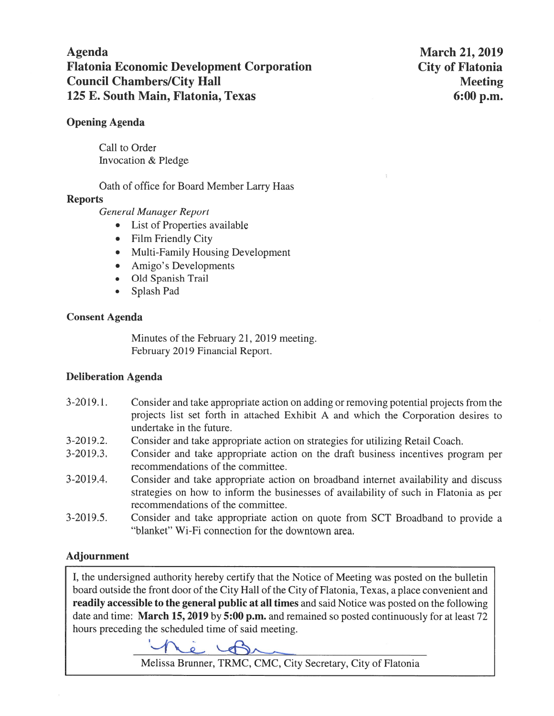# **Agenda Flatonia Economic Development Corporation Council Chambers/City Hall** 125 E. South Main, Flatonia, Texas

**March 21, 2019 City of Flatonia Meeting**  $6:00$  p.m.

### **Opening Agenda**

Call to Order Invocation & Pledge

Oath of office for Board Member Larry Haas

### **Reports**

**General Manager Report** 

- List of Properties available  $\bullet$
- Film Friendly City  $\bullet$
- Multi-Family Housing Development
- Amigo's Developments  $\bullet$
- Old Spanish Trail
- Splash Pad

### **Consent Agenda**

Minutes of the February 21, 2019 meeting. February 2019 Financial Report.

# **Deliberation Agenda**

- $3-2019.1$ . Consider and take appropriate action on adding or removing potential projects from the projects list set forth in attached Exhibit A and which the Corporation desires to undertake in the future.
- $3-2019.2.$ Consider and take appropriate action on strategies for utilizing Retail Coach.
- $3-2019.3$ . Consider and take appropriate action on the draft business incentives program per recommendations of the committee.
- $3-2019.4.$ Consider and take appropriate action on broadband internet availability and discuss strategies on how to inform the businesses of availability of such in Flatonia as per recommendations of the committee.
- Consider and take appropriate action on quote from SCT Broadband to provide a  $3-2019.5$ . "blanket" Wi-Fi connection for the downtown area.

# **Adjournment**

I, the undersigned authority hereby certify that the Notice of Meeting was posted on the bulletin board outside the front door of the City Hall of the City of Flatonia, Texas, a place convenient and readily accessible to the general public at all times and said Notice was posted on the following date and time: March 15, 2019 by 5:00 p.m. and remained so posted continuously for at least 72 hours preceding the scheduled time of said meeting.

 $\sqrt{2}$ 

Melissa Brunner, TRMC, CMC, City Secretary, City of Flatonia